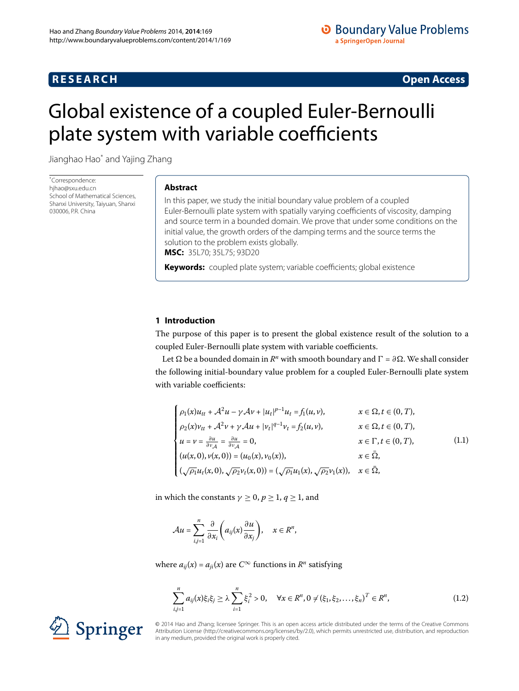## **RESEARCH CONSTRUCTED ACCESS**

# <span id="page-0-0"></span>Global existence of a coupled Euler-Bernoulli plate system with variable coefficients

Jianghao Ha[o\\*](#page-0-0) and Yajing Zhang

\* Correspondence: [hjhao@sxu.edu.cn](mailto:hjhao@sxu.edu.cn) School of Mathematical Sciences, Shanxi University, Taiyuan, Shanxi 030006, P.R. China

## **Abstract**

In this paper, we study the initial boundary value problem of a coupled Euler-Bernoulli plate system with spatially varying coefficients of viscosity, damping and source term in a bounded domain. We prove that under some conditions on the initial value, the growth orders of the damping terms and the source terms the solution to the problem exists globally. **MSC:** 35L70; 35L75; 93D20

**Keywords:** coupled plate system; variable coefficients; global existence

## **1 Introduction**

The purpose of this paper is to present the global existence result of the solution to a coupled Euler-Bernoulli plate system with variable coefficients.

Let  $\Omega$  be a bounded domain in  $R^n$  with smooth boundary and  $\Gamma = \partial \Omega$ . We shall consider the following initial-boundary value problem for a coupled Euler-Bernoulli plate system with variable coefficients:

<span id="page-0-1"></span>
$$
\begin{cases}\n\rho_1(x)u_{tt} + A^2u - \gamma A v + |u_t|^{p-1}u_t = f_1(u, v), & x \in \Omega, t \in (0, T), \\
\rho_2(x)v_{tt} + A^2v + \gamma A u + |v_t|^{q-1}v_t = f_2(u, v), & x \in \Omega, t \in (0, T), \\
u = v = \frac{\partial u}{\partial v_A} = \frac{\partial u}{\partial v_A} = 0, & x \in \Gamma, t \in (0, T), \\
(u(x, 0), v(x, 0)) = (u_0(x), v_0(x)), & x \in \bar{\Omega}, \\
(\sqrt{\rho_1}u_t(x, 0), \sqrt{\rho_2}v_t(x, 0)) = (\sqrt{\rho_1}u_1(x), \sqrt{\rho_2}v_1(x)), & x \in \bar{\Omega},\n\end{cases}
$$
\n(1.1)

in which the constants  $\gamma \geq 0$ ,  $p \geq 1$ ,  $q \geq 1$ , and

<span id="page-0-2"></span>
$$
\mathcal{A}u=\sum_{i,j=1}^n\frac{\partial}{\partial x_i}\bigg(a_{ij}(x)\frac{\partial u}{\partial x_j}\bigg),\quad x\in\mathbb{R}^n,
$$

where  $a_{ij}(x) = a_{ji}(x)$  are  $C^{\infty}$  functions in  $R^n$  satisfying

$$
\sum_{i,j=1}^{n} a_{ij}(x)\xi_i\xi_j \ge \lambda \sum_{i=1}^{n} \xi_i^2 > 0, \quad \forall x \in \mathbb{R}^n, 0 \ne (\xi_1, \xi_2, \dots, \xi_n)^T \in \mathbb{R}^n,
$$
\n(1.2)



© 2014 Hao and Zhang; licensee Springer. This is an open access article distributed under the terms of the Creative Commons Attribution License (http://creativecommons.org/licenses/by/2.0), which permits unrestricted use, distribution, and reproduction in any medium, provided the original work is properly cited.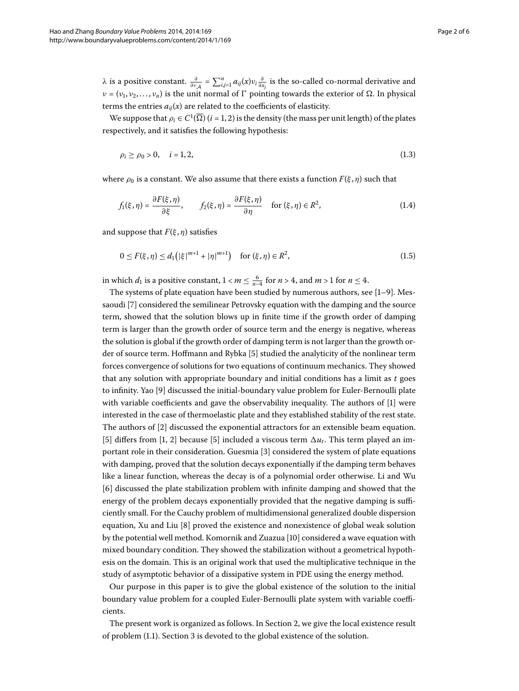*λ* is a positive constant.  $\frac{\partial}{\partial v_{\mathcal{A}}} = \sum_{i,j=1}^{n} a_{ij}(x)v_i \frac{\partial}{\partial x_j}$  is the so-called co-normal derivative and *ν* = (*ν*<sub>1</sub>, *ν*<sub>2</sub>,..., *ν*<sub>*n*</sub>) is the unit normal of Γ pointing towards the exterior of  $Ω$ . In physical terms the entries  $a_{ij}(x)$  are related to the coefficients of elasticity.

We suppose that  $\rho_i \in C^1(\overline{\Omega})$   $(i = 1, 2)$  is the density (the mass per unit length) of the plates respectively, and it satisfies the following hypothesis:

<span id="page-1-0"></span>
$$
\rho_i \ge \rho_0 > 0, \quad i = 1, 2,
$$
\n(1.3)

where  $\rho_0$  is a constant. We also assume that there exists a function  $F(\xi, \eta)$  such that

$$
f_1(\xi,\eta) = \frac{\partial F(\xi,\eta)}{\partial \xi}, \qquad f_2(\xi,\eta) = \frac{\partial F(\xi,\eta)}{\partial \eta} \quad \text{for } (\xi,\eta) \in R^2,
$$
 (1.4)

and suppose that *F*(*ξ* , *η*) satisfies

$$
0 \le F(\xi, \eta) \le d_1(|\xi|^{m+1} + |\eta|^{m+1}) \quad \text{for } (\xi, \eta) \in R^2,
$$
\n(1.5)

in which  $d_1$  is a positive constant,  $1 < m \leq \frac{6}{n-4}$  for  $n > 4$ , and  $m > 1$  for  $n \leq 4$ .

The systems of plate equation have been studied by numerous authors, see  $[1-9]$  $[1-9]$ . Mes-saoudi [\[](#page-4-1)7] considered the semilinear Petrovsky equation with the damping and the source term, showed that the solution blows up in finite time if the growth order of damping term is larger than the growth order of source term and the energy is negative, whereas the solution is global if the growth order of damping term is not larger than the growth or-der of source term. Hoffmann and Rybka [\[](#page-4-2)5] studied the analyticity of the nonlinear term forces convergence of solutions for two equations of continuum mechanics. They showed that any solution with appropriate boundary and initial conditions has a limit as *t* goes to infinity. Yao [9] discussed the initial-boundary value problem for Euler-Bernoulli plate with variable coefficients and gave the observability inequality. The authors of [\[](#page-4-0)] were interested in the case of thermoelastic plate and they established stability of the rest state. The authors of [2[\]](#page-4-3) discussed the exponential attractors for an extensible beam equation. [5[\]](#page-4-2) differs from [\[](#page-4-2)1, 2] because [5] included a viscous term  $\Delta u_t$ . This term played an im-portant role in their consideration. Guesmia [\[](#page-4-4)3] considered the system of plate equations with damping, proved that the solution decays exponentially if the damping term behaves like a linear function, whereas the decay is of a polynomial order otherwise. Li and Wu [6] discussed the plate stabilization problem with infinite damping and showed that the energy of the problem decays exponentially provided that the negative damping is sufficiently small. For the Cauchy problem of multidimensional generalized double dispersion equation, Xu and Liu  $[8]$  $[8]$  proved the existence and nonexistence of global weak solution by the potential well method. Komornik and Zuazua [\[](#page-5-2)10] considered a wave equation with mixed boundary condition. They showed the stabilization without a geometrical hypothesis on the domain. This is an original work that used the multiplicative technique in the study of asymptotic behavior of a dissipative system in PDE using the energy method.

Our purpose in this paper is to give the global existence of the solution to the initial boundary value problem for a coupled Euler-Bernoulli plate system with variable coefficients.

The present work is organized as follows. In Section 2, we give the local existence result of problem (1[.](#page-0-1)1). Section 3 is devoted to the global existence of the solution.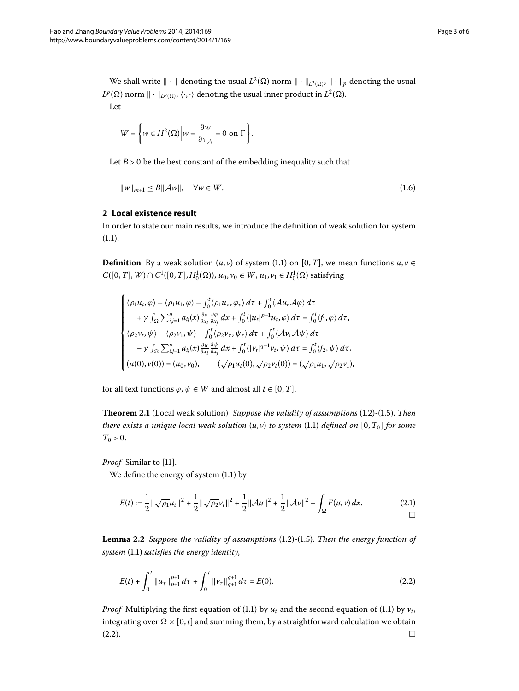We shall write  $\|\cdot\|$  denoting the usual  $L^2(\Omega)$  norm  $\|\cdot\|_{L^2(\Omega)}$ ,  $\|\cdot\|_p$  denoting the usual  $L^p(\Omega)$  norm  $\|\cdot\|_{L^p(\Omega)}, \langle \cdot, \cdot \rangle$  denoting the usual inner product in  $L^2(\Omega)$ . Let

<span id="page-2-2"></span>
$$
W = \left\{ w \in H^{2}(\Omega) \middle| w = \frac{\partial w}{\partial v_{\mathcal{A}}} = 0 \text{ on } \Gamma \right\}.
$$

<span id="page-2-0"></span>Let  $B > 0$  be the best constant of the embedding inequality such that

$$
||w||_{m+1} \le B||\mathcal{A}w||, \quad \forall w \in W.
$$
\n
$$
(1.6)
$$

### **2 Local existence result**

In order to state our main results, we introduce the definition of weak solution for system  $(1.1).$  $(1.1).$  $(1.1).$ 

**Definition** By a weak solution  $(u, v)$  of system (1[.](#page-0-1)1) on [0, *T*], we mean functions  $u, v \in$  $C([0, T], W) ∩ C<sup>1</sup>([0, T], H<sub>0</sub><sup>1</sup>(Ω)), u<sub>0</sub>, v<sub>0</sub> ∈ W, u<sub>1</sub>, v<sub>1</sub> ∈ H<sub>0</sub><sup>1</sup>(Ω)$  satisfying

$$
\begin{cases} \langle \rho_1 u_t, \varphi \rangle - \langle \rho_1 u_1, \varphi \rangle - \int_0^t \langle \rho_1 u_\tau, \varphi_\tau \rangle \, d\tau + \int_0^t \langle \mathcal{A} u, \mathcal{A} \varphi \rangle \, d\tau \\ \quad + \gamma \int_{\Omega} \sum_{i,j=1}^n a_{ij}(x) \frac{\partial \nu}{\partial x_i} \frac{\partial \varphi}{\partial x_j} \, dx + \int_0^t \langle |u_t|^{p-1} u_t, \varphi \rangle \, d\tau = \int_0^t \langle f_1, \varphi \rangle \, d\tau, \\ \langle \rho_2 v_t, \psi \rangle - \langle \rho_2 v_1, \psi \rangle - \int_0^t \langle \rho_2 v_\tau, \psi_\tau \rangle \, d\tau + \int_0^t \langle \mathcal{A} v, \mathcal{A} \psi \rangle \, d\tau \\ \quad - \gamma \int_{\Omega} \sum_{i,j=1}^n a_{ij}(x) \frac{\partial u}{\partial x_i} \frac{\partial \psi}{\partial x_j} \, dx + \int_0^t \langle |v_t|^{q-1} v_t, \psi \rangle \, d\tau = \int_0^t \langle f_2, \psi \rangle \, d\tau, \\ (u(0), v(0)) = (u_0, v_0), \qquad (\sqrt{\rho_1} u_t(0), \sqrt{\rho_2} v_t(0)) = (\sqrt{\rho_1} u_1, \sqrt{\rho_2} v_1), \end{cases}
$$

for all text functions  $\varphi, \psi \in W$  and almost all  $t \in [0, T]$ .

**Theorem 2.1** (Local weak solution) *Suppose the validity of assumptions* (1.2)-(1.5). *Then there exists a unique local weak solution*  $(u, v)$  *to system* (1.1) *defined on* [0,  $T_0$ ] *for some*  $T_{0} > 0.$ 

*Proof* Similar to [\[](#page-5-3)11].

We define the energy of system  $(1.1)$  by

<span id="page-2-1"></span>
$$
E(t) := \frac{1}{2} \|\sqrt{\rho_1} u_t\|^2 + \frac{1}{2} \|\sqrt{\rho_2} v_t\|^2 + \frac{1}{2} \|\mathcal{A}u\|^2 + \frac{1}{2} \|\mathcal{A}v\|^2 - \int_{\Omega} F(u, v) \, dx. \tag{2.1}
$$

**Lemma 2.2** Suppose the validity of assumptions (1.2)-(1.5). Then the energy function of *system* (1[.](#page-0-1)1) *satisfies the energy identity*,

$$
E(t) + \int_0^t \|u_\tau\|_{p+1}^{p+1} d\tau + \int_0^t \|v_\tau\|_{q+1}^{q+1} d\tau = E(0). \tag{2.2}
$$

*Proof* Multiplying the first equation of (1[.](#page-0-1)1) by  $u_t$  and the second equation of (1.1) by  $v_t$ , integrating over  $\Omega \times [0,t]$  and summing them, by a straightforward calculation we obtain  $(2.2).$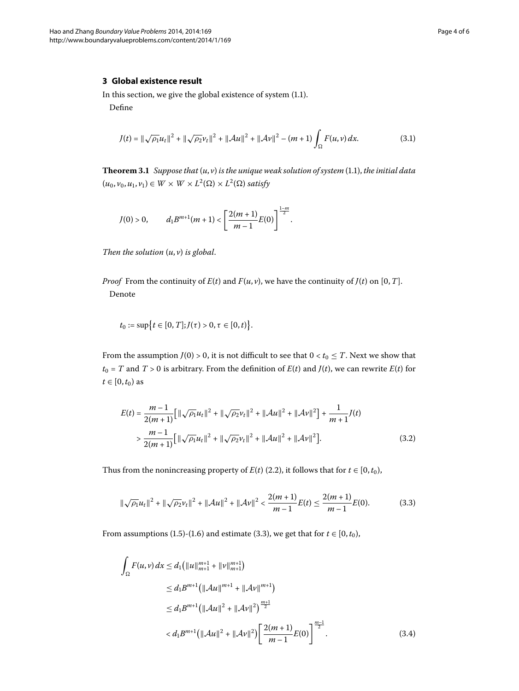<span id="page-3-0"></span>In this section, we give the global existence of system  $(1.1)$  $(1.1)$  $(1.1)$ .

Define

$$
J(t) = \|\sqrt{\rho_1}u_t\|^2 + \|\sqrt{\rho_2}v_t\|^2 + \|\mathcal{A}u\|^2 + \|\mathcal{A}v\|^2 - (m+1)\int_{\Omega} F(u,v) \, dx. \tag{3.1}
$$

Theorem 3[.](#page-0-1)1 Suppose that  $(u, v)$  is the unique weak solution of system (1.1), the initial data  $(u_0, v_0, u_1, v_1) \in W \times W \times L^2(\Omega) \times L^2(\Omega)$  satisfy

$$
J(0) > 0, \qquad d_1 B^{m+1}(m+1) < \left[\frac{2(m+1)}{m-1}E(0)\right]^{\frac{1-m}{2}}.
$$

*Then the solution* (*u*, *v*) *is global*.

*Proof* From the continuity of  $E(t)$  and  $F(u, v)$ , we have the continuity of  $J(t)$  on [0, *T*]. Denote

$$
t_0 := \sup \big\{ t \in [0, T]; J(\tau) > 0, \tau \in [0, t) \big\}.
$$

From the assumption *J*(0) > 0, it is not difficult to see that  $0 < t_0 \leq T$ . Next we show that  $t_0 = T$  and  $T > 0$  is arbitrary. From the definition of  $E(t)$  and  $J(t)$ , we can rewrite  $E(t)$  for  $t \in [0, t_0)$  as

<span id="page-3-1"></span>
$$
E(t) = \frac{m-1}{2(m+1)} \Big[ ||\sqrt{\rho_1} u_t||^2 + ||\sqrt{\rho_2} v_t||^2 + ||\mathcal{A}u||^2 + ||\mathcal{A}v||^2 \Big] + \frac{1}{m+1} J(t)
$$
  
> 
$$
\frac{m-1}{2(m+1)} \Big[ ||\sqrt{\rho_1} u_t||^2 + ||\sqrt{\rho_2} v_t||^2 + ||\mathcal{A}u||^2 + ||\mathcal{A}v||^2 \Big].
$$
 (3.2)

Thus from the nonincreasing property of  $E(t)$  (2[.](#page-2-1)2), it follows that for  $t \in [0, t_0)$ ,

$$
\|\sqrt{\rho_1}u_t\|^2 + \|\sqrt{\rho_2}v_t\|^2 + \|\mathcal{A}u\|^2 + \|\mathcal{A}v\|^2 < \frac{2(m+1)}{m-1}E(t) \le \frac{2(m+1)}{m-1}E(0). \tag{3.3}
$$

From assumptions (1[.](#page-3-1)5)-(1.6) and estimate (3.3), we get that for  $t \in [0, t_0)$ ,

$$
\int_{\Omega} F(u,v) dx \le d_1 \left( ||u||_{m+1}^{m+1} + ||v||_{m+1}^{m+1} \right)
$$
\n
$$
\le d_1 B^{m+1} \left( ||\mathcal{A}u||^{m+1} + ||\mathcal{A}v||^{m+1} \right)
$$
\n
$$
\le d_1 B^{m+1} \left( ||\mathcal{A}u||^2 + ||\mathcal{A}v||^2 \right)^{\frac{m+1}{2}}
$$
\n
$$
< d_1 B^{m+1} \left( ||\mathcal{A}u||^2 + ||\mathcal{A}v||^2 \right) \left[ \frac{2(m+1)}{m-1} E(0) \right]^{\frac{m-1}{2}}.
$$
\n(3.4)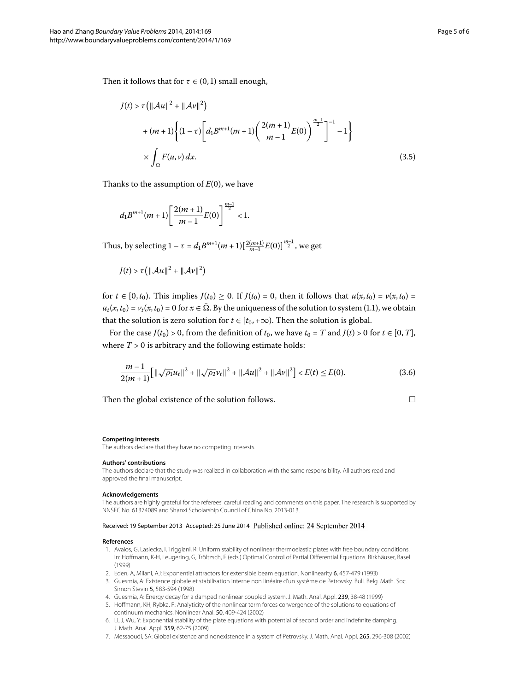Then it follows that for  $\tau \in (0, 1)$  small enough,

$$
J(t) > \tau \left( ||Au||^2 + ||Av||^2 \right)
$$
  
+  $(m+1) \left\{ (1-\tau) \left[ d_1 B^{m+1} (m+1) \left( \frac{2(m+1)}{m-1} E(0) \right)^{\frac{m-1}{2}} \right]^{-1} - 1 \right\}$   
 $\times \int_{\Omega} F(u,v) dx.$  (3.5)

Thanks to the assumption of  $E(0)$ , we have

 $d_1 B^{m+1}(m+1) \left[ \frac{2(m+1)}{m+1} \right]$  $\left(\frac{m+1}{m-1}E(0)\right)^{\frac{m-1}{2}}$  < 1.

Thus, by selecting  $1 - \tau = d_1 B^{m+1} (m+1) \left[ \frac{2(m+1)}{m-1} E(0) \right]^{m-1 \over 2}$ , we get

$$
J(t) > \tau \left( \left\| \mathcal{A}u \right\|^2 + \left\| \mathcal{A}v \right\|^2 \right)
$$

for  $t \in [0, t_0)$ . This implies  $J(t_0) \ge 0$ . If  $J(t_0) = 0$ , then it follows that  $u(x, t_0) = v(x, t_0) = 0$  $u_t(x,t_0) = v_t(x,t_0) = 0$  for  $x \in \Omega$ [.](#page-0-1) By the uniqueness of the solution to system (1.1), we obtain that the solution is zero solution for  $t \in [t_0, +\infty)$ . Then the solution is global.

For the case  $J(t_0) > 0$ , from the definition of  $t_0$ , we have  $t_0 = T$  and  $J(t) > 0$  for  $t \in [0, T]$ , where  $T > 0$  is arbitrary and the following estimate holds:

$$
\frac{m-1}{2(m+1)}\Big[\|\sqrt{\rho_1}u_t\|^2+\|\sqrt{\rho_2}v_t\|^2+\|\mathcal{A}u\|^2+\|\mathcal{A}v\|^2\Big] (3.6)
$$

Then the global existence of the solution follows.  $\Box$ 

#### **Competing interests**

The authors declare that they have no competing interests.

#### **Authors' contributions**

<span id="page-4-0"></span>The authors declare that the study was realized in collaboration with the same responsibility. All authors read and approved the final manuscript.

#### <span id="page-4-3"></span>**Acknowledgements**

<span id="page-4-4"></span>The authors are highly grateful for the referees' careful reading and comments on this paper. The research is supported by NNSFC No. 61374089 and Shanxi Scholarship Council of China No. 2013-013.

#### <span id="page-4-2"></span>Received: 19 September 2013 Accepted: 25 June 2014

#### <span id="page-4-5"></span><span id="page-4-1"></span>**References**

- 1. Avalos, G, Lasiecka, I, Triggiani, R: Uniform stability of nonlinear thermoelastic plates with free boundary conditions. In: Hoffmann, K-H, Leugering, G, Tröltzsch, F (eds.) Optimal Control of Partial Differential Equations. Birkhäuser, Basel (1999)
- 2. Eden, A, Milani, AJ: Exponential attractors for extensible beam equation. Nonlinearity 6, 457-479 (1993)
- 3. Guesmia, A: Existence globale et stabilisation interne non linéaire d'un système de Petrovsky. Bull. Belg. Math. Soc. Simon Stevin 5, 583-594 (1998)
- 4. Guesmia, A: Energy decay for a damped nonlinear coupled system. J. Math. Anal. Appl. 239, 38-48 (1999)
- 5. Hoffmann, KH, Rybka, P: Analyticity of the nonlinear term forces convergence of the solutions to equations of continuum mechanics. Nonlinear Anal. 50, 409-424 (2002)
- 6. Li, J, Wu, Y: Exponential stability of the plate equations with potential of second order and indefinite damping. J. Math. Anal. Appl. 359, 62-75 (2009)
- 7. Messaoudi, SA: Global existence and nonexistence in a system of Petrovsky. J. Math. Anal. Appl. 265, 296-308 (2002)